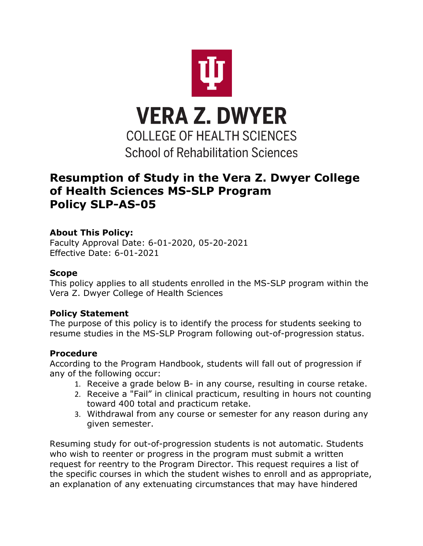

# **Resumption of Study in the Vera Z. Dwyer College of Health Sciences MS-SLP Program Policy SLP-AS-05**

## **About This Policy:**

Faculty Approval Date: 6-01-2020, 05-20-2021 Effective Date: 6-01-2021

#### **Scope**

This policy applies to all students enrolled in the MS-SLP program within the Vera Z. Dwyer College of Health Sciences

## **Policy Statement**

The purpose of this policy is to identify the process for students seeking to resume studies in the MS-SLP Program following out-of-progression status.

## **Procedure**

According to the Program Handbook, students will fall out of progression if any of the following occur:

- 1. Receive a grade below B- in any course, resulting in course retake.
- 2. Receive a "Fail" in clinical practicum, resulting in hours not counting toward 400 total and practicum retake.
- 3. Withdrawal from any course or semester for any reason during any given semester.

Resuming study for out-of-progression students is not automatic. Students who wish to reenter or progress in the program must submit a written request for reentry to the Program Director. This request requires a list of the specific courses in which the student wishes to enroll and as appropriate, an explanation of any extenuating circumstances that may have hindered